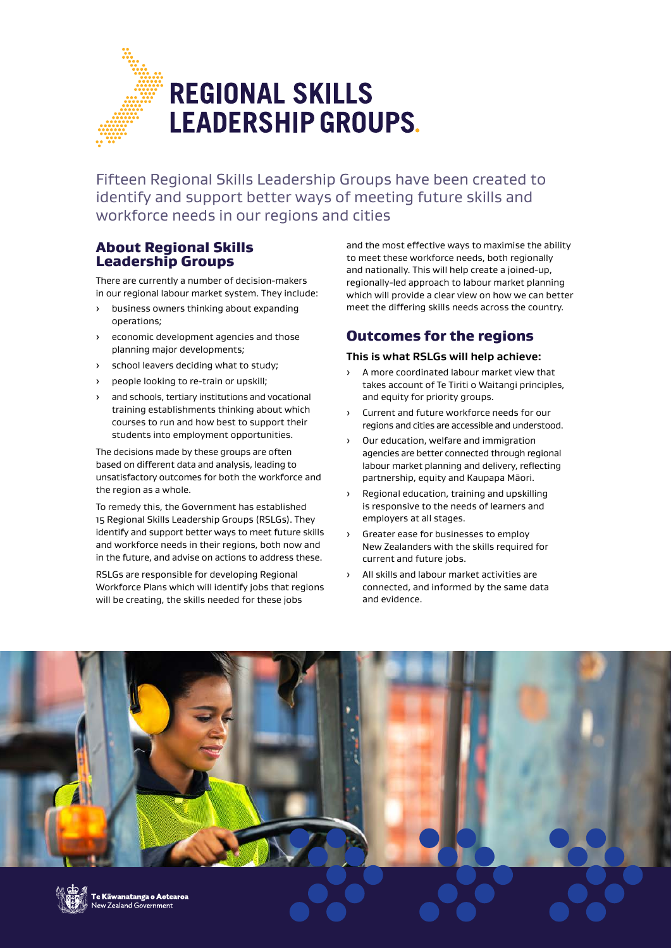

Fifteen Regional Skills Leadership Groups have been created to identify and support better ways of meeting future skills and workforce needs in our regions and cities

## About Regional Skills Leadership Groups

There are currently a number of decision-makers in our regional labour market system. They include:

- business owners thinking about expanding operations;
- economic development agencies and those planning major developments;
- school leavers deciding what to study;
- people looking to re-train or upskill;
- and schools, tertiary institutions and vocational training establishments thinking about which courses to run and how best to support their students into employment opportunities.

The decisions made by these groups are often based on different data and analysis, leading to unsatisfactory outcomes for both the workforce and the region as a whole.

To remedy this, the Government has established 15 Regional Skills Leadership Groups (RSLGs). They identify and support better ways to meet future skills and workforce needs in their regions, both now and in the future, and advise on actions to address these.

RSLGs are responsible for developing Regional Workforce Plans which will identify jobs that regions will be creating, the skills needed for these jobs

and the most effective ways to maximise the ability to meet these workforce needs, both regionally and nationally. This will help create a joined-up, regionally-led approach to labour market planning which will provide a clear view on how we can better meet the differing skills needs across the country.

# Outcomes for the regions

### **This is what RSLGs will help achieve:**

- A more coordinated labour market view that takes account of Te Tiriti o Waitangi principles, and equity for priority groups.
- › Current and future workforce needs for our regions and cities are accessible and understood.
- › Our education, welfare and immigration agencies are better connected through regional labour market planning and delivery, reflecting partnership, equity and Kaupapa Māori.
- › Regional education, training and upskilling is responsive to the needs of learners and employers at all stages.
- › Greater ease for businesses to employ New Zealanders with the skills required for current and future jobs.
- All skills and labour market activities are connected, and informed by the same data and evidence.